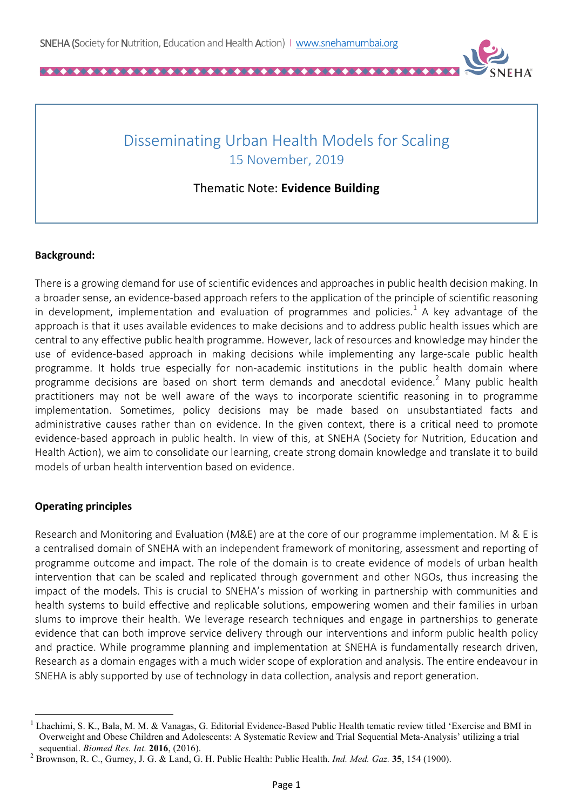

## Disseminating Urban Health Models for Scaling 15 November, 2019

Thematic Note: **Evidence Building**

## **Background:**

There is a growing demand for use of scientific evidences and approaches in public health decision making. In a broader sense, an evidence-based approach refers to the application of the principle of scientific reasoning in development, implementation and evaluation of programmes and policies.<sup>1</sup> A key advantage of the approach is that it uses available evidences to make decisions and to address public health issues which are central to any effective public health programme. However, lack of resources and knowledge may hinder the use of evidence-based approach in making decisions while implementing any large-scale public health programme. It holds true especially for non-academic institutions in the public health domain where programme decisions are based on short term demands and anecdotal evidence.<sup>2</sup> Many public health practitioners may not be well aware of the ways to incorporate scientific reasoning in to programme implementation. Sometimes, policy decisions may be made based on unsubstantiated facts and administrative causes rather than on evidence. In the given context, there is a critical need to promote evidence-based approach in public health. In view of this, at SNEHA (Society for Nutrition, Education and Health Action), we aim to consolidate our learning, create strong domain knowledge and translate it to build models of urban health intervention based on evidence.

## **Operating principles**

<u> 1989 - Johann Barn, mars ann an t-Amhain an t-Amhain an t-Amhain an t-Amhain an t-Amhain an t-Amhain an t-Amh</u>

Research and Monitoring and Evaluation (M&E) are at the core of our programme implementation. M & E is a centralised domain of SNEHA with an independent framework of monitoring, assessment and reporting of programme outcome and impact. The role of the domain is to create evidence of models of urban health intervention that can be scaled and replicated through government and other NGOs, thus increasing the impact of the models. This is crucial to SNEHA's mission of working in partnership with communities and health systems to build effective and replicable solutions, empowering women and their families in urban slums to improve their health. We leverage research techniques and engage in partnerships to generate evidence that can both improve service delivery through our interventions and inform public health policy and practice. While programme planning and implementation at SNEHA is fundamentally research driven, Research as a domain engages with a much wider scope of exploration and analysis. The entire endeavour in SNEHA is ably supported by use of technology in data collection, analysis and report generation.

<sup>&</sup>lt;sup>1</sup> Lhachimi, S. K., Bala, M. M. & Vanagas, G. Editorial Evidence-Based Public Health tematic review titled 'Exercise and BMI in Overweight and Obese Children and Adolescents: A Systematic Review and Trial Sequential Meta-Analysis' utilizing a trial

sequential. *Biomed Res. Int.* **<sup>2016</sup>**, (2016). <sup>2</sup> Brownson, R. C., Gurney, J. G. & Land, G. H. Public Health: Public Health. *Ind. Med. Gaz.* **<sup>35</sup>**, 154 (1900).